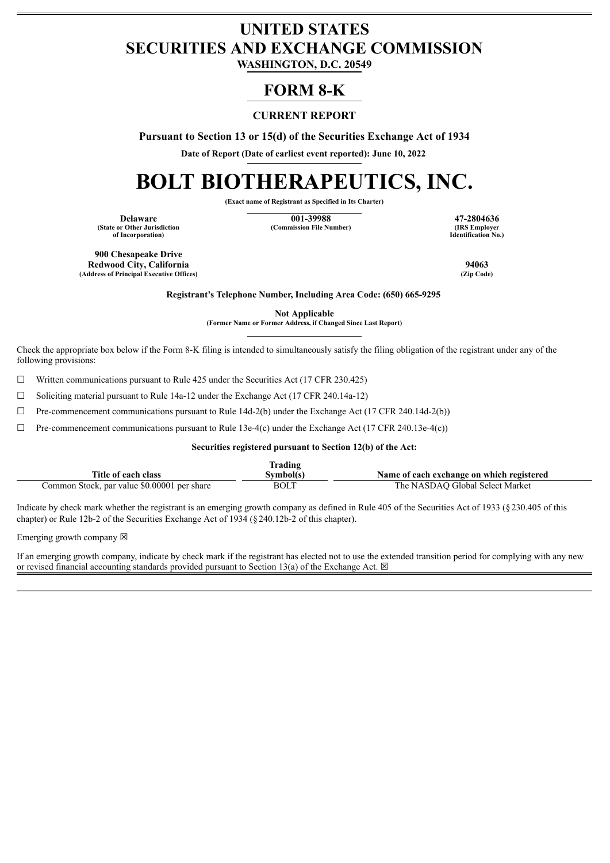## **UNITED STATES SECURITIES AND EXCHANGE COMMISSION**

**WASHINGTON, D.C. 20549**

### **FORM 8-K**

### **CURRENT REPORT**

**Pursuant to Section 13 or 15(d) of the Securities Exchange Act of 1934**

**Date of Report (Date of earliest event reported): June 10, 2022**

# **BOLT BIOTHERAPEUTICS, INC.**

**(Exact name of Registrant as Specified in Its Charter)**

**(State or Other Jurisdiction of Incorporation)**

**Delaware 17-2804636**<br> **17-2804636**<br> **188 Employer 19. Commission File Number 188 Employer 188 Employer (Commission File Number)** 

**Identification No.)**

**900 Chesapeake Drive Redwood City, California 94063 (Address of Principal Executive Offices)** 

**Registrant's Telephone Number, Including Area Code: (650) 665-9295**

**Not Applicable**

**(Former Name or Former Address, if Changed Since Last Report)**

Check the appropriate box below if the Form 8-K filing is intended to simultaneously satisfy the filing obligation of the registrant under any of the following provisions:

 $\Box$  Written communications pursuant to Rule 425 under the Securities Act (17 CFR 230.425)

☐ Soliciting material pursuant to Rule 14a-12 under the Exchange Act (17 CFR 240.14a-12)

 $\Box$  Pre-commencement communications pursuant to Rule 14d-2(b) under the Exchange Act (17 CFR 240.14d-2(b))

 $\Box$  Pre-commencement communications pursuant to Rule 13e-4(c) under the Exchange Act (17 CFR 240.13e-4(c))

**Securities registered pursuant to Section 12(b) of the Act:**

|                                             | Frading     |                                           |
|---------------------------------------------|-------------|-------------------------------------------|
| Title of each class                         | Svmbol(s)   | Name of each exchange on which registered |
| Common Stock, par value \$0.00001 per share | <b>BOLT</b> | The NASDAO Global Select Market           |

Indicate by check mark whether the registrant is an emerging growth company as defined in Rule 405 of the Securities Act of 1933 (§230.405 of this chapter) or Rule 12b-2 of the Securities Exchange Act of 1934 (§240.12b-2 of this chapter).

Emerging growth company  $\boxtimes$ 

If an emerging growth company, indicate by check mark if the registrant has elected not to use the extended transition period for complying with any new or revised financial accounting standards provided pursuant to Section 13(a) of the Exchange Act.  $\boxtimes$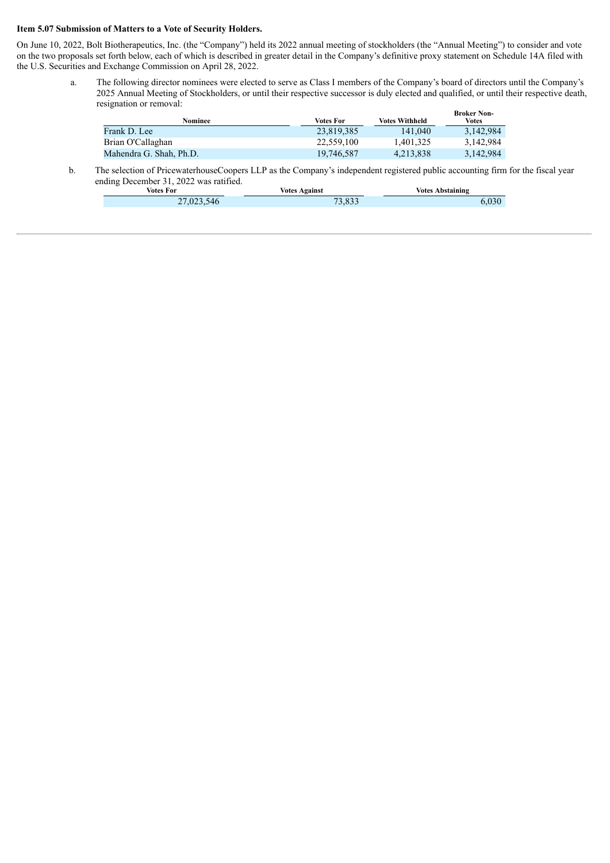#### **Item 5.07 Submission of Matters to a Vote of Security Holders.**

Г

On June 10, 2022, Bolt Biotherapeutics, Inc. (the "Company") held its 2022 annual meeting of stockholders (the "Annual Meeting") to consider and vote on the two proposals set forth below, each of which is described in greater detail in the Company's definitive proxy statement on Schedule 14A filed with the U.S. Securities and Exchange Commission on April 28, 2022.

a. The following director nominees were elected to serve as Class I members of the Company's board of directors until the Company's 2025 Annual Meeting of Stockholders, or until their respective successor is duly elected and qualified, or until their respective death, resignation or removal:

| <b>Nominee</b>          | <b>Votes For</b> | <b>Votes Withheld</b> | <b>Broker Non-</b><br><b>Votes</b> |
|-------------------------|------------------|-----------------------|------------------------------------|
| Frank D. Lee            | 23.819.385       | 141,040               | 3.142.984                          |
| Brian O'Callaghan       | 22.559.100       | 1.401.325             | 3,142,984                          |
| Mahendra G. Shah, Ph.D. | 19,746,587       | 4,213,838             | 3,142,984                          |

b. The selection of PricewaterhouseCoopers LLP as the Company's independent registered public accounting firm for the fiscal year ending December 31, 2022 was ratified.

| Votes For  | <b>Votes Against</b> | <b>Votes Abstaining</b> |  |
|------------|----------------------|-------------------------|--|
| 27,023,546 | 73.833               | 020                     |  |